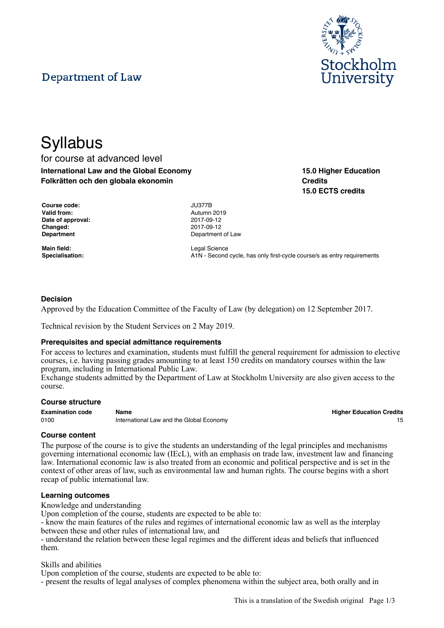# Department of Law



**15.0 Higher Education**

**15.0 ECTS credits**

**Credits**

# **Syllabus** for course at advanced level

**International Law and the Global Economy Folkrätten och den globala ekonomin**

| Course code:       | <b>JU377B</b> |
|--------------------|---------------|
| <b>Valid from:</b> | Autumn        |
| Date of approval:  | 2017-09       |
| <b>Changed:</b>    | 2017-09       |
| <b>Department</b>  | Departn       |

**Main field:** Legal Science

**Valid from:** Autumn 2019 **Date of approval:** 2017-09-12 **Changed:** 2017-09-12 **Department** of Law

Specialisation: **A1N** - Second cycle, has only first-cycle course/s as entry requirements

## **Decision**

Approved by the Education Committee of the Faculty of Law (by delegation) on 12 September 2017.

Technical revision by the Student Services on 2 May 2019.

#### **Prerequisites and special admittance requirements**

For access to lectures and examination, students must fulfill the general requirement for admission to elective courses, i.e. having passing grades amounting to at least 150 credits on mandatory courses within the law program, including in International Public Law.

Exchange students admitted by the Department of Law at Stockholm University are also given access to the course.

#### **Course structure**

| <b>Examination code</b> | Name                                     | <b>Higher Education Credits</b> |
|-------------------------|------------------------------------------|---------------------------------|
| 0100                    | International Law and the Global Economy |                                 |

**Higher Education Credits** 

#### **Course content**

The purpose of the course is to give the students an understanding of the legal principles and mechanisms governing international economic law (IEcL), with an emphasis on trade law, investment law and financing law. International economic law is also treated from an economic and political perspective and is set in the context of other areas of law, such as environmental law and human rights. The course begins with a short recap of public international law.

#### **Learning outcomes**

Knowledge and understanding

Upon completion of the course, students are expected to be able to:

- know the main features of the rules and regimes of international economic law as well as the interplay between these and other rules of international law, and

- understand the relation between these legal regimes and the different ideas and beliefs that influenced them.

Skills and abilities

Upon completion of the course, students are expected to be able to:

- present the results of legal analyses of complex phenomena within the subject area, both orally and in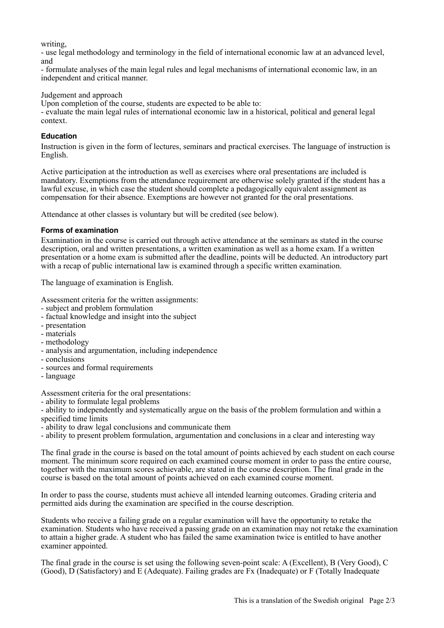writing,

- use legal methodology and terminology in the field of international economic law at an advanced level, and

- formulate analyses of the main legal rules and legal mechanisms of international economic law, in an independent and critical manner.

Judgement and approach

Upon completion of the course, students are expected to be able to:

- evaluate the main legal rules of international economic law in a historical, political and general legal context.

# **Education**

Instruction is given in the form of lectures, seminars and practical exercises. The language of instruction is English.

Active participation at the introduction as well as exercises where oral presentations are included is mandatory. Exemptions from the attendance requirement are otherwise solely granted if the student has a lawful excuse, in which case the student should complete a pedagogically equivalent assignment as compensation for their absence. Exemptions are however not granted for the oral presentations.

Attendance at other classes is voluntary but will be credited (see below).

## **Forms of examination**

Examination in the course is carried out through active attendance at the seminars as stated in the course description, oral and written presentations, a written examination as well as a home exam. If a written presentation or a home exam is submitted after the deadline, points will be deducted. An introductory part with a recap of public international law is examined through a specific written examination.

The language of examination is English.

Assessment criteria for the written assignments:

- subject and problem formulation
- factual knowledge and insight into the subject
- presentation
- materials
- methodology
- analysis and argumentation, including independence
- conclusions
- sources and formal requirements
- language

Assessment criteria for the oral presentations:

- ability to formulate legal problems

- ability to independently and systematically argue on the basis of the problem formulation and within a specified time limits

- ability to draw legal conclusions and communicate them

- ability to present problem formulation, argumentation and conclusions in a clear and interesting way

The final grade in the course is based on the total amount of points achieved by each student on each course moment. The minimum score required on each examined course moment in order to pass the entire course, together with the maximum scores achievable, are stated in the course description. The final grade in the course is based on the total amount of points achieved on each examined course moment.

In order to pass the course, students must achieve all intended learning outcomes. Grading criteria and permitted aids during the examination are specified in the course description.

Students who receive a failing grade on a regular examination will have the opportunity to retake the examination. Students who have received a passing grade on an examination may not retake the examination to attain a higher grade. A student who has failed the same examination twice is entitled to have another examiner appointed.

The final grade in the course is set using the following seven-point scale: A (Excellent), B (Very Good), C (Good), D (Satisfactory) and E (Adequate). Failing grades are Fx (Inadequate) or F (Totally Inadequate